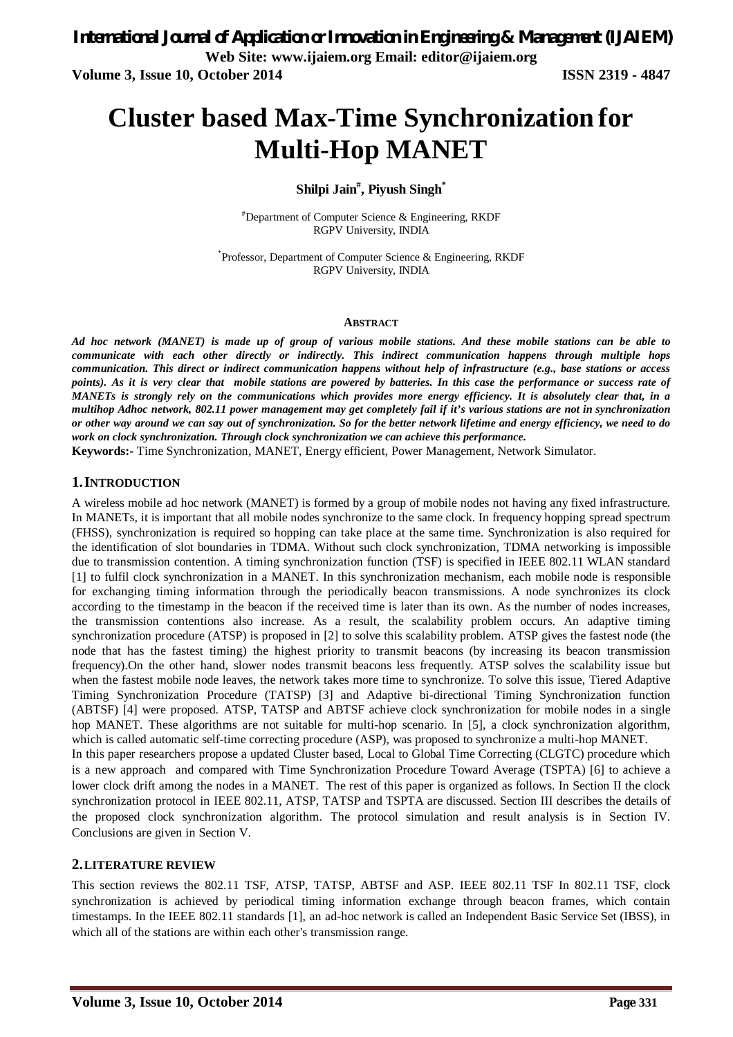# **Cluster based Max-Time Synchronization for Multi-Hop MANET**

# **Shilpi Jain# , Piyush Singh\***

#Department of Computer Science & Engineering, RKDF RGPV University, INDIA

\* Professor, Department of Computer Science & Engineering, RKDF RGPV University, INDIA

#### **ABSTRACT**

*Ad hoc network (MANET) is made up of group of various mobile stations. And these mobile stations can be able to communicate with each other directly or indirectly. This indirect communication happens through multiple hops communication. This direct or indirect communication happens without help of infrastructure (e.g., base stations or access points). As it is very clear that mobile stations are powered by batteries. In this case the performance or success rate of MANETs is strongly rely on the communications which provides more energy efficiency. It is absolutely clear that, in a multihop Adhoc network, 802.11 power management may get completely fail if it's various stations are not in synchronization or other way around we can say out of synchronization. So for the better network lifetime and energy efficiency, we need to do work on clock synchronization. Through clock synchronization we can achieve this performance.*

**Keywords:-** Time Synchronization, MANET, Energy efficient, Power Management, Network Simulator.

#### **1.INTRODUCTION**

A wireless mobile ad hoc network (MANET) is formed by a group of mobile nodes not having any fixed infrastructure. In MANETs, it is important that all mobile nodes synchronize to the same clock. In frequency hopping spread spectrum (FHSS), synchronization is required so hopping can take place at the same time. Synchronization is also required for the identification of slot boundaries in TDMA. Without such clock synchronization, TDMA networking is impossible due to transmission contention. A timing synchronization function (TSF) is specified in IEEE 802.11 WLAN standard [1] to fulfil clock synchronization in a MANET. In this synchronization mechanism, each mobile node is responsible for exchanging timing information through the periodically beacon transmissions. A node synchronizes its clock according to the timestamp in the beacon if the received time is later than its own. As the number of nodes increases, the transmission contentions also increase. As a result, the scalability problem occurs. An adaptive timing synchronization procedure (ATSP) is proposed in [2] to solve this scalability problem. ATSP gives the fastest node (the node that has the fastest timing) the highest priority to transmit beacons (by increasing its beacon transmission frequency).On the other hand, slower nodes transmit beacons less frequently. ATSP solves the scalability issue but when the fastest mobile node leaves, the network takes more time to synchronize. To solve this issue, Tiered Adaptive Timing Synchronization Procedure (TATSP) [3] and Adaptive bi-directional Timing Synchronization function (ABTSF) [4] were proposed. ATSP, TATSP and ABTSF achieve clock synchronization for mobile nodes in a single hop MANET. These algorithms are not suitable for multi-hop scenario. In [5], a clock synchronization algorithm, which is called automatic self-time correcting procedure (ASP), was proposed to synchronize a multi-hop MANET. In this paper researchers propose a updated Cluster based, Local to Global Time Correcting (CLGTC) procedure which is a new approach and compared with Time Synchronization Procedure Toward Average (TSPTA) [6] to achieve a lower clock drift among the nodes in a MANET. The rest of this paper is organized as follows. In Section II the clock synchronization protocol in IEEE 802.11, ATSP, TATSP and TSPTA are discussed. Section III describes the details of the proposed clock synchronization algorithm. The protocol simulation and result analysis is in Section IV.

Conclusions are given in Section V.

#### **2.LITERATURE REVIEW**

This section reviews the 802.11 TSF, ATSP, TATSP, ABTSF and ASP. IEEE 802.11 TSF In 802.11 TSF, clock synchronization is achieved by periodical timing information exchange through beacon frames, which contain timestamps. In the IEEE 802.11 standards [1], an ad-hoc network is called an Independent Basic Service Set (IBSS), in which all of the stations are within each other's transmission range.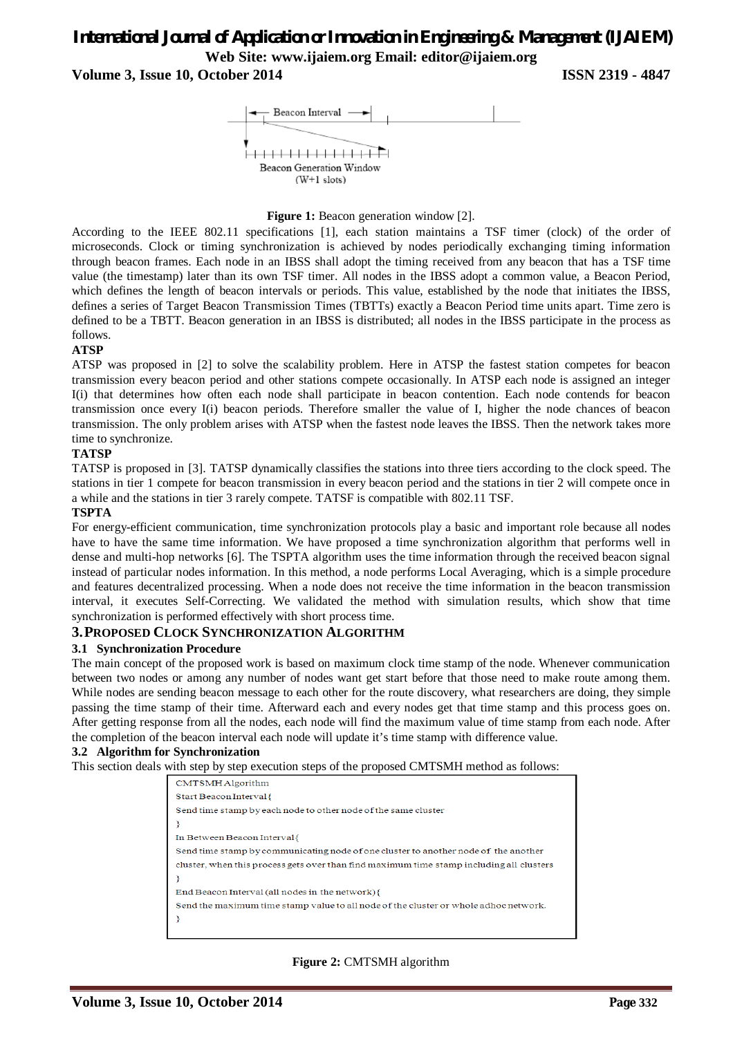# *International Journal of Application or Innovation in Engineering & Management (IJAIEM)* **Web Site: www.ijaiem.org Email: editor@ijaiem.org**

**Volume 3, Issue 10, October 2014 ISSN 2319 - 4847**



#### **Figure 1:** Beacon generation window [2].

According to the IEEE 802.11 specifications [1], each station maintains a TSF timer (clock) of the order of microseconds. Clock or timing synchronization is achieved by nodes periodically exchanging timing information through beacon frames. Each node in an IBSS shall adopt the timing received from any beacon that has a TSF time value (the timestamp) later than its own TSF timer. All nodes in the IBSS adopt a common value, a Beacon Period, which defines the length of beacon intervals or periods. This value, established by the node that initiates the IBSS, defines a series of Target Beacon Transmission Times (TBTTs) exactly a Beacon Period time units apart. Time zero is defined to be a TBTT. Beacon generation in an IBSS is distributed; all nodes in the IBSS participate in the process as follows.

#### **ATSP**

ATSP was proposed in [2] to solve the scalability problem. Here in ATSP the fastest station competes for beacon transmission every beacon period and other stations compete occasionally. In ATSP each node is assigned an integer I(i) that determines how often each node shall participate in beacon contention. Each node contends for beacon transmission once every I(i) beacon periods. Therefore smaller the value of I, higher the node chances of beacon transmission. The only problem arises with ATSP when the fastest node leaves the IBSS. Then the network takes more time to synchronize.

#### **TATSP**

TATSP is proposed in [3]. TATSP dynamically classifies the stations into three tiers according to the clock speed. The stations in tier 1 compete for beacon transmission in every beacon period and the stations in tier 2 will compete once in a while and the stations in tier 3 rarely compete. TATSF is compatible with 802.11 TSF.

#### **TSPTA**

For energy-efficient communication, time synchronization protocols play a basic and important role because all nodes have to have the same time information. We have proposed a time synchronization algorithm that performs well in dense and multi-hop networks [6]. The TSPTA algorithm uses the time information through the received beacon signal instead of particular nodes information. In this method, a node performs Local Averaging, which is a simple procedure and features decentralized processing. When a node does not receive the time information in the beacon transmission interval, it executes Self-Correcting. We validated the method with simulation results, which show that time synchronization is performed effectively with short process time.

#### **3.PROPOSED CLOCK SYNCHRONIZATION ALGORITHM**

#### **3.1 Synchronization Procedure**

The main concept of the proposed work is based on maximum clock time stamp of the node. Whenever communication between two nodes or among any number of nodes want get start before that those need to make route among them. While nodes are sending beacon message to each other for the route discovery, what researchers are doing, they simple passing the time stamp of their time. Afterward each and every nodes get that time stamp and this process goes on. After getting response from all the nodes, each node will find the maximum value of time stamp from each node. After the completion of the beacon interval each node will update it's time stamp with difference value.

#### **3.2 Algorithm for Synchronization**

This section deals with step by step execution steps of the proposed CMTSMH method as follows:

| CMTSMH Algorithm                                                                         |  |
|------------------------------------------------------------------------------------------|--|
| Start Beacon Interval {                                                                  |  |
| Send time stamp by each node to other node of the same cluster                           |  |
|                                                                                          |  |
| In Between Beacon Interval {                                                             |  |
| Send time stamp by communicating node of one cluster to another node of the another      |  |
| cluster, when this process gets over than find maximum time stamp including all clusters |  |
|                                                                                          |  |
| End Beacon Interval (all nodes in the network) {                                         |  |
| Send the maximum time stamp value to all node of the cluster or whole adhoc network.     |  |
|                                                                                          |  |
|                                                                                          |  |

#### **Figure 2:** CMTSMH algorithm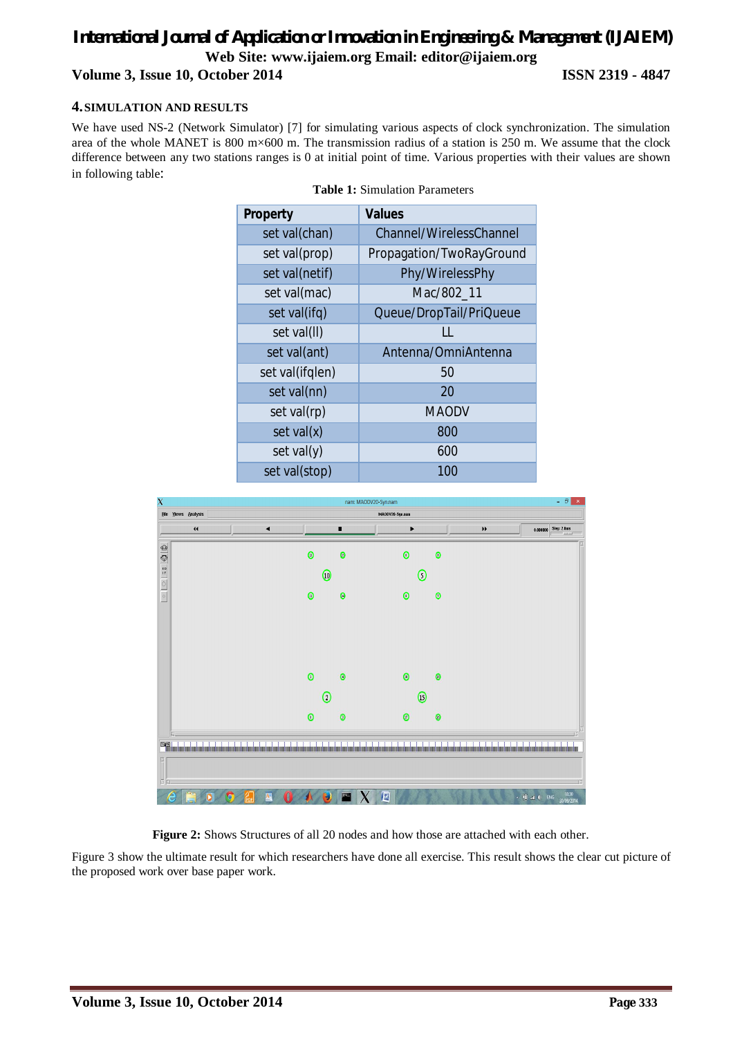# *International Journal of Application or Innovation in Engineering & Management (IJAIEM)* **Web Site: www.ijaiem.org Email: editor@ijaiem.org Volume 3, Issue 10, October 2014 ISSN 2319 - 4847**

### **4.SIMULATION AND RESULTS**

We have used NS-2 (Network Simulator) [7] for simulating various aspects of clock synchronization. The simulation area of the whole MANET is 800 m×600 m. The transmission radius of a station is 250 m. We assume that the clock difference between any two stations ranges is 0 at initial point of time. Various properties with their values are shown in following table:

| <b>Property</b> | <b>Values</b>            |
|-----------------|--------------------------|
| set val(chan)   | Channel/WirelessChannel  |
| set val(prop)   | Propagation/TwoRayGround |
| set val(netif)  | Phy/WirelessPhy          |
| set val(mac)    | Mac/802_11               |
| set val(ifq)    | Queue/DropTail/PriQueue  |
| set val(II)     | LL                       |
| set val(ant)    | Antenna/OmniAntenna      |
| set val(ifglen) | 50                       |
| set val(nn)     | 20                       |
| set val(rp)     | <b>MAODV</b>             |
| set val(x)      | 800                      |
| set $val(y)$    | 600                      |
| set val(stop)   | 100                      |





**Figure 2:** Shows Structures of all 20 nodes and how those are attached with each other.

Figure 3 show the ultimate result for which researchers have done all exercise. This result shows the clear cut picture of the proposed work over base paper work.